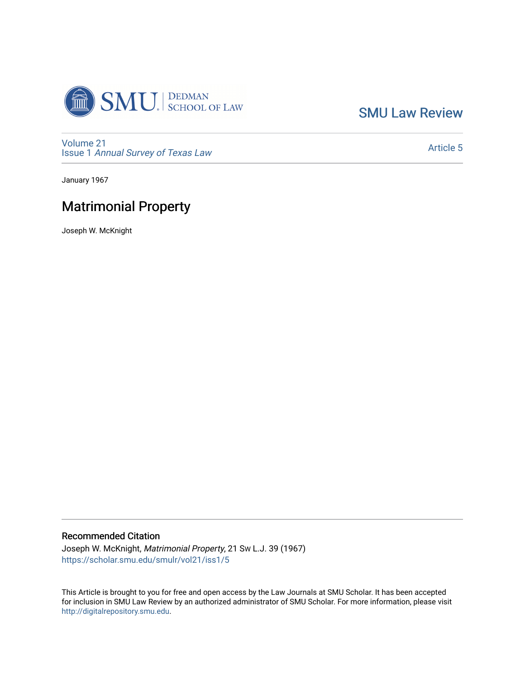

[SMU Law Review](https://scholar.smu.edu/smulr) 

[Volume 21](https://scholar.smu.edu/smulr/vol21) Issue 1 [Annual Survey of Texas Law](https://scholar.smu.edu/smulr/vol21/iss1) 

[Article 5](https://scholar.smu.edu/smulr/vol21/iss1/5) 

January 1967

# Matrimonial Property

Joseph W. McKnight

## Recommended Citation

Joseph W. McKnight, Matrimonial Property, 21 SW L.J. 39 (1967) [https://scholar.smu.edu/smulr/vol21/iss1/5](https://scholar.smu.edu/smulr/vol21/iss1/5?utm_source=scholar.smu.edu%2Fsmulr%2Fvol21%2Fiss1%2F5&utm_medium=PDF&utm_campaign=PDFCoverPages) 

This Article is brought to you for free and open access by the Law Journals at SMU Scholar. It has been accepted for inclusion in SMU Law Review by an authorized administrator of SMU Scholar. For more information, please visit [http://digitalrepository.smu.edu.](http://digitalrepository.smu.edu/)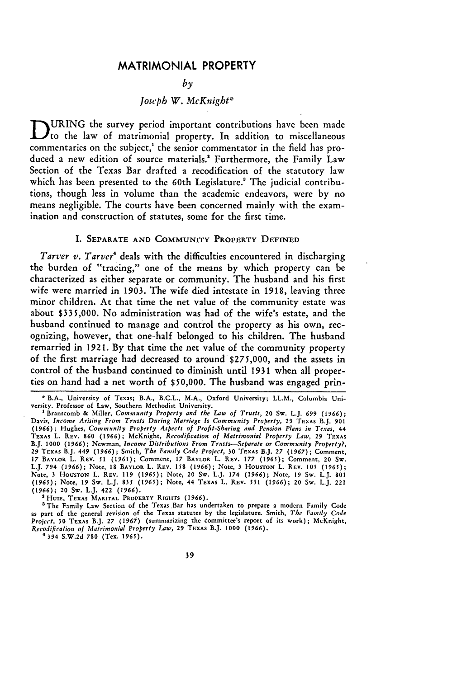## MATRIMONIAL PROPERTY

## *by*

# *Joseph W. McKnight\**

**D URING** the survey period important contributions have been made to the law of matrimonial property. In addition to miscellaneous commentaries on the subject' the senior commentator in the field has produced a new edition of source materials.<sup>2</sup> Furthermore, the Family Law Section of the Texas Bar drafted a recodification of the statutory law which has been presented to the 60th Legislature.<sup>3</sup> The judicial contributions, though less in volume than the academic endeavors, were **by** no means negligible. The courts have been concerned mainly with the examination and construction of statutes, some for the first time.

#### **I. SEPARATE AND COMMUNITY PROPERTY DEFINED**

*Tarver v. Tarver*<sup>4</sup> deals with the difficulties encountered in discharging the burden of "tracing," one of the means **by** which property can **be** characterized as either separate or community. The husband and his first wife were married in **1903.** The wife died intestate in **1918,** leaving three minor children. At that time the net value of the community estate was about **\$335,000.** No administration was had of the wife's estate, and the husband continued to manage and control the property as his own, recognizing, however, that one-half belonged to his children. The husband remarried in **1921. By** that time the net value of the community property of the first marriage had decreased to around **\$275,000,** and the assets in control of the husband continued to diminish until **1931** when all properties on hand had a net worth of **\$50,000.** The husband was engaged prin-

<sup>2</sup> HUIE, TEXAS MARITAL PROPERTY RIGHTS (1966).

a The Family Law Section of the Texas.Bar has undertaken to prepare a modern Family **Code** as part of the general revision of the Texas statutes **by** the legislature. Smith, *The Family Code Project,* **30** TEXAS B.J. **27 (1967)** (summarizing the committee's report of its work); McKnight, *Recodification of Matrimonial Property Law,* **29** TEXAS B.J. **1000 (1966).**

4 394 S.W.2d **780** (Tex. 1965).

**<sup>\*</sup> B.A., University of** Texas; B.A., B.C.L., M.A., **Oxford University;** LL.M., Columbia University. Professor **of Law, Southern Methodist University.**

**I** Branscomb **&** Miller, *Community Property and the Law of Trusts,* 20 Sw. L.J. 699 **(1966);** Davis, *Income Arising From Trusts During Marriage Is Community Property,* 29 TEXAs B.J. **901 (1966);** Hughes, *Community Property Aspects of Profit-Sharing and Pension Plans in Texas,* 44 TEXAS L. REV. 860 (1966); McKnight, *Recodification of Matrimonial Property Law,* 29 TEXAS B.J. 1000 (1966); Newman, *Income Distributions From Trusts-Separate or Community Property?,* 29 TEXAS B.J. 449 (1966); Smith, *The Family Code Project,* 30 TEXAS B.J. 27 **(1967);** Comment, 17 BAYLOR L. REV. 51 (1965); Comment, 17 BAYLOR L. REV. 177 (1965); Comment, 20 Sw<br>L.J. 794 (1966); Note, 18 BAYLOR L. REV. 158 (1966); Note, 3 HOUSTON L. REV. 105 (1965); Note, **3 HOUSTON** L. REv. 119 **(1965);** Note, 20 Sw. L.J. 174 (1966); Note, 19 Sw. L.J. 801 (1965); Note, *19* **Sw.** L.J. **835 (1965);** Note, 44 **TEXAS** L. REv. *551* (1966); 20 Sw. L.J. 221 (1966); 20 Sw. L.J. 422 **(1966).**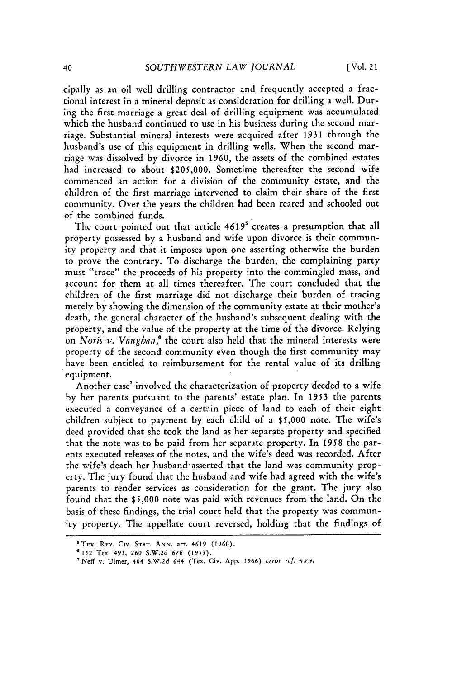cipally as an oil well drilling contractor and frequently accepted a fractional interest in a mineral deposit as consideration for drilling a well. During the first marriage a great deal of drilling equipment was accumulated which the husband continued to use in his business during the second marriage. Substantial mineral interests were acquired after 1931 through the husband's use of this equipment in drilling wells. When the second marriage was dissolved by divorce in 1960, the assets of the combined estates had increased to about \$205,000. Sometime thereafter the second wife commenced an action for a division of the community estate, and the children of the first marriage intervened to claim their share of the first community. Over the years the children had been reared and schooled out of the combined funds.

The court pointed out that article 4619<sup>5</sup> creates a presumption that all property possessed by a husband and wife upon divorce is their community property and that it imposes upon one asserting otherwise the burden to prove the contrary. To discharge the burden, the complaining party must "trace" the proceeds of his property into the commingled mass, and account for them at all times thereafter. The court concluded that the children of the first marriage did not discharge their burden of tracing merely by showing the dimension of the community estate at their mother's death, the general character of the husband's subsequent dealing with the property, and the value of the property at the time of the divorce. Relying on *Noris v. Vaughan,'* the court also held that the mineral interests were property of the second community even though the first community may have been entitled to reimbursement for the rental value of its drilling equipment.

Another case' involved the characterization of property deeded to a wife by her parents pursuant to the parents' estate plan. In 1953 the parents executed a conveyance of a certain piece of land to each of their eight children subject to payment by each child of a \$5,000 note. The wife's deed provided that she took the land as her separate property and specified that the note was to be paid from her separate property. In 1958 the parents executed releases of the notes, and the wife's deed was recorded. After the wife's death her husband asserted that the land was community property. The jury found that the husband and wife had agreed with the wife's parents to render services as consideration for the grant. The jury also found that the \$5,000 note was paid with revenues from the land. On the basis of these findings, the trial court held that the property was community property. The appellate court reversed, holding that the findings of

STEx. REv. Civ. **STAT. ANN.** art. 4619 **(1960).**

**<sup>6152</sup>** Tex. 491, **260** S.W.2d *676* (1953).

<sup>&#</sup>x27;Neff v. Ulmer, 404 S.W.2d 644 (Tex. Civ. App. *1966) error* ref. n.r.e.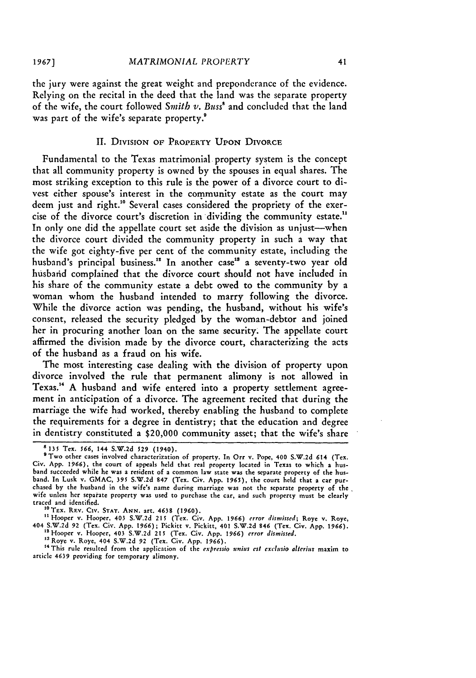the jury were against the great weight and preponderance of the evidence. Relying on the recital in the deed that the land was the separate property of the wife, the court followed *Smith v*. Buss<sup>8</sup> and concluded that the land was part of the wife's separate property.<sup>8</sup>

## II. DIVISION OF PROPERTY UPON DIVORCE

Fundamental to the Texas matrimonial property system is the concept that all community property is owned by the spouses in equal shares. The most striking exception to this rule is the power of a divorce court to divest either spouse's interest in the community estate as the court may deem just and right." Several cases considered the propriety of the exercise of the divorce court's discretion in dividing the community estate." In only one did the appellate court set aside the division as unjust--when the divorce court divided the community property in such a way that the wife got eighty-five per cent of the community estate, including the husband's principal business.<sup>12</sup> In another case<sup>13</sup> a seventy-two year old husbarid complained that the divorce court should not have included in his share of the community estate a debt owed to the community by a woman whom the husband intended to marry following the divorce. While the divorce action was pending, the husband, without his wife's consent, released the security pledged by the woman-debtor and joined her in procuring another loan on the same security. The appellate court affirmed the division made by the divorce court, characterizing the acts of the husband as a fraud on his wife.

The most interesting case dealing with the division of property upon divorce involved the rule that permanent alimony is not allowed in Texas. 4 A husband and wife entered into a property settlement agreement in anticipation of a divorce. The agreement recited that during the marriage the wife had worked, thereby enabling the husband to complete the requirements for a degree in dentistry; that the education and degree in dentistry constituted a \$20,000 community asset; that the wife's share

**<sup>8</sup>** 135 Tex. *566,* 144 **S.W.2d 529** (1940).

<sup>&</sup>quot;Two other cases involved characterization of property. In Orr v. Pope, 400 **S.W.2d** 614 (Tex. Civ. **App. 1966),** the court of appeals held that real property located in Texas to which **a** husband succeeded while he was a resident of a common law state was the separate property **of** the husband. In Lusk v. GMAC, 395 S.W.2d 847 (Tex. Civ. App. **1965),** the court held that a car pur-chased by the husband in the wife's name during marriage was not the separate property of the wife unless her separate property was used to purchase the car, and such property must be clearly traced and identified.

<sup>&#</sup>x27;Trx. **REv.** Civ. **STAr. ANN.** art. 4638 (1960).

<sup>&</sup>lt;sup>11</sup> Hooper v. Hooper, 403 S.W.2d 215 (Tex. Civ. App. 1966) error dismissed; Roye v. Roye.<br>404 S.W.2d 92 (Tex. Civ. App. 1966); Pickitt v. Pickitt, 401 S.W.2d 846 (Tex. Civ. App. 1966). 'Hooper v. Hooper, 403 S.W.2d 215 (Tex. Civ. App. *1966) error dismissed.* **<sup>13</sup>**Roye v. Roye, 404 S.W.2d **92** (Tex. Civ. App. 1966).

<sup>&</sup>lt;sup>14</sup> This rule resulted from the application of the *expressio unius est exclusio alterius* maxim to article 4639 providing for temporary alimony.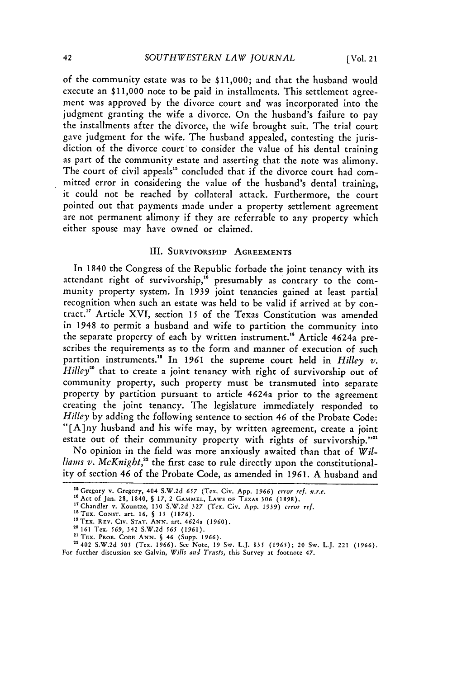of the community estate was to **be \$11,000;** and that the husband would execute an **\$11,000** note to be paid in installments. This settlement agreement was approved by the divorce court and was incorporated into the judgment granting the wife a divorce. On the husband's failure to pay the installments after the divorce, the wife brought suit. The trial court gave judgment for the wife. The husband appealed, contesting the jurisdiction of the divorce court to consider the value of his dental training as part of the community estate and asserting that the note was alimony. The court of civil appeals" concluded that if the divorce court had committed error in considering the value of the husband's dental training, **it** could not **be** reached by collateral attack. Furthermore, the court pointed out that payments made under a property settlement agreement are not permanent alimony if they are referrable to any property which either spouse may have owned or claimed.

## III. **SURVIVORSHip AGREEMENTS**

In 1840 the Congress of the Republic forbade the joint tenancy with its attendant right of survivorship, $^{16}$  presumably as contrary to the community property system. In 1939 joint tenancies gained at least partial recognition when such an estate was held to be valid if arrived at by contract.<sup>17</sup> Article XVI, section 15 of the Texas Constitution was amended in 1948 to permit a husband and wife to partition the community into the separate property of each by written instrument." Article 4624a prescribes the requirements as to the form and manner of execution of such partition instruments.<sup>19</sup> In 1961 the supreme court held in *Hilley v*. *Hilley*<sup>20</sup> that to create a joint tenancy with right of survivorship out of community property, such property must be transmuted into separate property by partition pursuant to article 4624a prior to the agreement creating the joint tenancy. The legislature immediately responded to *Hilley* by adding the following sentence to section 46 of the Probate Code: "[A]ny husband and his wife may, by written agreement, create a joint estate out of their community property with rights of survivorship."<sup>21</sup>

No opinion in the field was more anxiously awaited than that of *Wil*liams *v. McKnight,"* the first case to rule directly upon the constitutionality of section 46 of the Probate Code, as amended in **1961.** A husband and

**<sup>&</sup>quot;** Gregory v. Gregory, 404 S.W.2d *657* (Tex. Civ. App. **1966)** *error ref. n.r.e.*

**<sup>16</sup>** Act of Jan. **28,** 1840, **§** *17,* 2 **GAMMEL,** LAWS **OF** TEXAS **306** (1898).

<sup>&</sup>lt;sup>17</sup> Chandler v. Kountze, 130 S.W.2d 327 (Tex. Civ. App. 1939) *error ref.*  $18 \text{ Tex}$ . Const. art. 16,  $6.15 \div (1876)$ .

<sup>&</sup>quot;9TEx. REV. CiV. **STAT. ANN.** art. 4624a (1960). **20 161** Tex. *569,* 342 S.W.2d **565** (1961).

**<sup>&</sup>quot;** TEX. PROB. CODE **ANN. §** 46 (Supp. 1966). 22402 S.W.2d **505** (Tex. **1966). See** Note, **19** Sw. L.J. **835 (1965);** 20 Sw. L.J. 221 (1966). For further discussion see Galvin, *Wills and Trusts,* this Survey at footnote 47.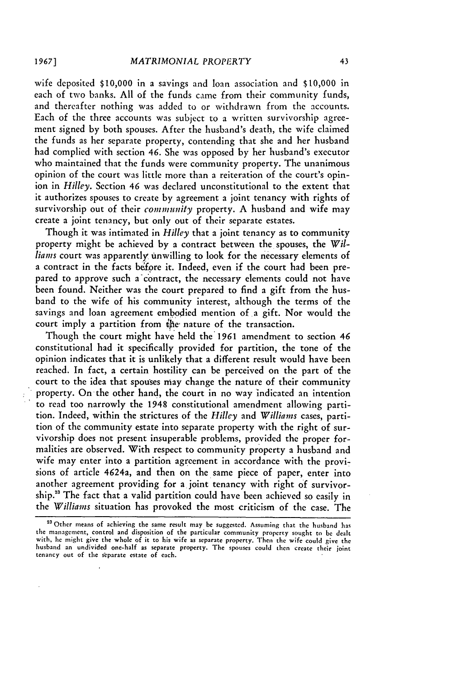wife deposited \$10,000 in a savings and loan association and \$10,000 in each of two banks. All of the funds came from their community funds, and thereafter nothing was added to or withdrawn from the accounts. Each of the three accounts was subject to a written survivorship agreement signed by both spouses. After the husband's death, the wife claimed the funds as her separate property, contending that she and her husband had complied with section 46. She was opposed by her husband's executor who maintained that the funds were community property. The unanimous opinion of the court was little more than a reiteration of the court's opinion in *Hilley.* Section 46 was declared unconstitutional to the extent that it authorizes spouses to create by agreement a joint tenancy with rights of survivorship out of their community property. A husband and wife may create a joint tenancy, but only out of their separate estates.

Though it was intimated in *Hilley* that a joint tenancy as to community property might be achieved by a contract between the spouses, the *Wil*liams court was apparently unwilling to look for the necessary elements of a contract in the facts before it. Indeed, even if the court had been prepared to approve such a contract, the necessary elements could not have been found. Neither was the court prepared to find a gift from the husband to the wife of his community interest, although the terms of the savings and loan agreement embodied mention of a gift. Nor would the court imply a partition from the- nature of the transaction.

Though the court might have held the 1961 amendment to section 46 constitutional had it specifically provided for partition, the tone of the opinion indicates that it is unlikely that a different result would have been reached. In fact, a certain hostility can be perceived on the part of the court to the idea that spouses may change the nature of their community property. On-the other hand, the court in no way indicated an intention to read too narrowly the 1948 constitutional amendment allowing partition. Indeed, within the strictures of the *Hiley* and *Williams* cases, partition of the community estate into separate property with the right of survivorship does not present insuperable problems, provided the proper formalities are observed. With respect to community property a husband and wife may enter into a partition agreement in accordance with the provisions of article 4624a, and then on the same piece of paper, enter into another agreement providing for a joint tenancy with right of survivorship." The fact that a valid partition could have been achieved so easily in the *Williams* situation has provoked the most criticism of the case. The

<sup>&</sup>lt;sup>23</sup> Other means of achieving the same result may be suggested. Assuming that the husband has the management, control and disposition of the particular community property sought to **be** dealt with, he might give the whole of it to his wife as separate property. Then the wife could give the husband an undivided one-half as separate property. The spouses could then create their joint tenancy out of the separate estate of each.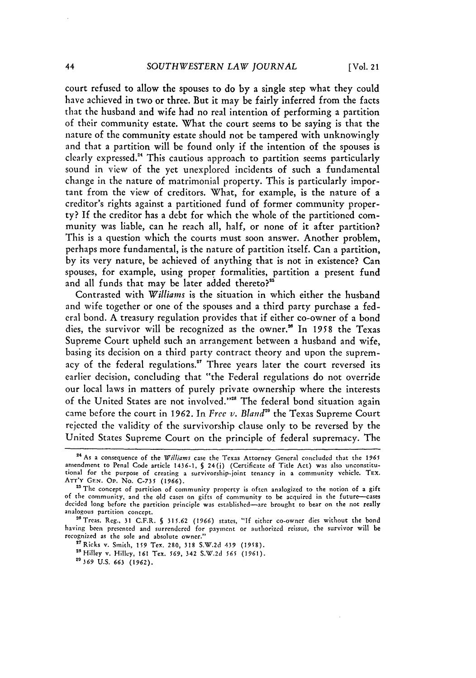court refused to allow the spouses to do by a single step what they could have achieved in two or three. But it may be fairly inferred from the facts that the husband and wife had no real intention of performing a partition of their community estate. What the court seems to be saying is that the nature of the community estate should not be tampered with unknowingly and that a partition will be found only if the intention of the spouses is clearly expressed.<sup>24</sup> This cautious approach to partition seems particularly sound in view of the yet unexplored incidents of such a fundamental change in the nature of matrimonial property. This is particularly important from the view of creditors. What, for example, is the nature of a creditor's rights against a partitioned fund of former community property? If the creditor has a debt for which the whole of the partitioned community was liable, can he reach all, half, or none of it after partition? This is a question which the courts must soon answer. Another problem, perhaps more fundamental, is the nature of partition itself. Can a partition, by its very nature, be achieved of anything that is not in existence? Can spouses, for example, using proper formalities, partition a present fund and all funds that may be later added thereto?"

Contrasted with *Williams* is the situation in which either the husband and wife together or one of the spouses and a third party purchase a federal bond. A treasury regulation provides that if either co-owner of a bond dies, the survivor will be recognized as the owner.<sup>26</sup> In 1958 the Texas Supreme Court upheld such an arrangement between a husband and wife, basing its decision on a third party contract theory and upon the supremacy of the federal regulations.<sup>27</sup> Three years later the court reversed its earlier decision, concluding that "the Federal regulations do not override our local laws in matters of purely private ownership where the interests of the United States are not involved."<sup>28</sup> The federal bond situation again came before the court in 1962. In *Free v. Bland*<sup>29</sup> the Texas Supreme Court rejected the validity of the survivorship clause only to be reversed by the United States Supreme Court on the principle of federal supremacy. The

**<sup>17</sup>**Ricks v. Smith, **159** Tex. 280, 318 S.W.2d 439 (1958). <sup>28</sup> Hilley v. Hilley, 161 Tex. 569, 342 S.W.2d 565 (1961). **"'369 U.S.** *663* **(1962).**

<sup>24</sup> As a consequence of the Williams case the Texas Attorney General concluded that the *1965* amendment to Penal Code article 1436-1, **§** 24(j) (Certificate of Title Act) was also unconstitu-tional for the purpose of creating a survivorship-joint tenancy in a community vehicle. TEX. ATT'Y **GEN. Op.** No. **C-735** (1966).

<sup>&</sup>lt;sup>25</sup> The concept of partition of community property is often analogized to the notion of a gift of the community, and the old cases on gifts of community to be acquired in the future--cases decided long before the partition principle was established-are brought to bear on the not really analogous partition concept.

<sup>&</sup>lt;sup>26</sup> Treas. Reg., 31 C.F.R. § 315.62 (1966) states, "If either co-owner dies without the bond having been presented and surrendered for payment or authorized reissue, the survivor will be recognized as the sole and absolute owner."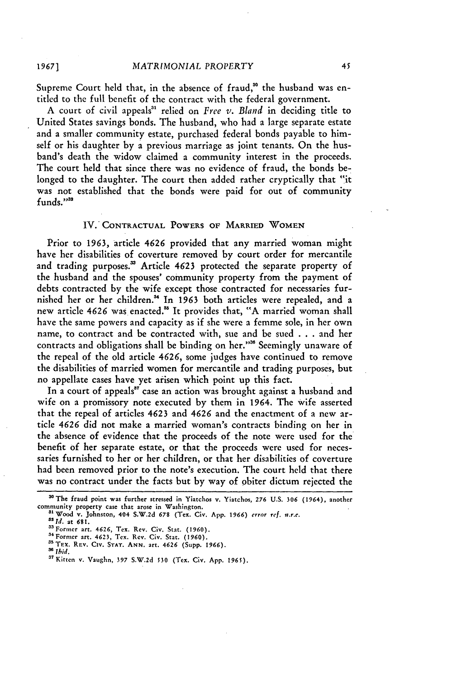Supreme Court held that, in the absence of fraud,<sup>30</sup> the husband was entitled to the full benefit of the contract with the federal government.

A court of civil appeals<sup>31</sup> relied on *Free v. Bland* in deciding title to United States savings bonds. The husband, who had a large separate estate and a smaller community estate, purchased federal bonds payable to himself or his daughter by a previous marriage as joint tenants. On the husband's death the widow claimed a community interest in the proceeds. The court held that since there was no evidence of fraud, the bonds **be**longed to the daughter. The court then added rather cryptically that "it was not established that the bonds were paid for out of community funds."<sup>33</sup>

#### IV. CONTRACTUAL POWERS OF MARRIED WOMEN

Prior to 1963, article 4626 provided that any married woman might have her disabilities of coverture removed by court order for mercantile and trading purposes.<sup>33</sup> Article 4623 protected the separate property of the husband and the spouses' community property from the payment of debts contracted by the wife except those contracted for necessaries furnished her or her children." In 1963 both articles were repealed, and a new article 4626 was enacted.<sup>35</sup> It provides that, "A married woman shall have the same powers and capacity as if she were a femme sole, in her own name, to contract and be contracted with, sue and be sued . **.** . and her contracts and obligations shall be binding on her."" Seemingly unaware of the repeal of the old article 4626, some judges have continued to remove the disabilities of married women for mercantile and trading purposes, but no appellate cases have yet arisen which point up this fact.

In a court of appeals<sup>37</sup> case an action was brought against a husband and wife on a promissory note executed by them in 1964. The wife asserted that the repeal of articles 4623 and 4626 and the enactment of a new article *4626* did not make a married woman's contracts binding on her in the absence of evidence that the proceeds of the note were used for the benefit of her separate estate, or that the proceeds were used for necessaries furnished to her or her children, or that her disabilities of coverture had been removed prior to the note's execution. The court held that there was no contract under the facts but by way of obiter dictum rejected the

**1967]**

**<sup>&#</sup>x27;The** fraud point was further stressed in Yiatchos **v.** Yiatchos, **276** U.S. **306** (1964), another

**community** property case that arose in Washington. **31Wood v.** Johnston, **404 S.W.2d 678** (Tex. Civ. **App.** 1966) error ref. *n.r.c. '* **id.** at **681.**

**<sup>&</sup>quot;Former** art. 4626, Tex. **Rev.** Civ. Stat. (1960). **"4Formcr** art. 4623, Tex. Rev. Civ. Stat. **(1960).**

<sup>35</sup>TEx. **REV. CIv.** STAT. **ANN.** art. 4626 (Supp. **1966).**

<sup>&</sup>lt;sup>37</sup> Kitten v. Vaughn, 397 S.W.2d 530 (Tex. Civ. App. 1965).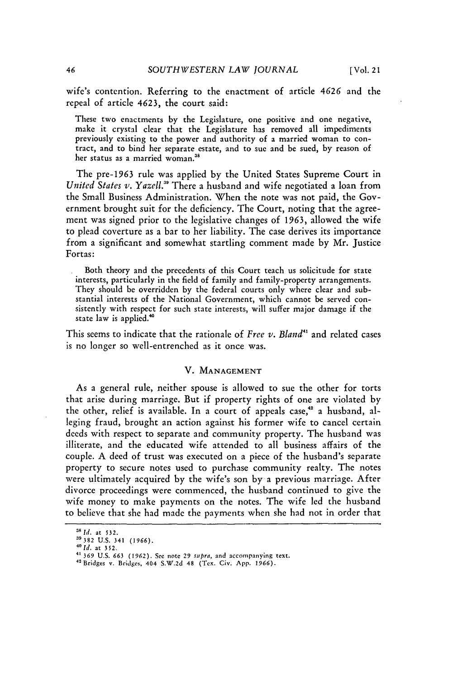wife's contention. Referring to the enactment of article 4626 and the repeal of article 4623, the court said:

These two enactments by the Legislature, one positive and one negative, make it crystal clear that the Legislature has removed all impediments previously existing to the power and authority of a married woman to contract, and to bind her separate estate, and to sue and be sued, by reason of her status as a married woman."

The pre-1963 rule was applied by the United States Supreme Court in *United States v. Yazell.3* There a husband and wife negotiated a loan from the Small Business Administration. When the note was not paid, the Government brought suit for the deficiency. The Court, noting that the agreement was signed prior to the legislative changes of 1963, allowed the wife to plead coverture as a bar to her liability. The case derives its importance from a significant and somewhat startling comment made by Mr. Justice Fortas:

Both theory and the precedents of this Court teach us solicitude for state interests, particularly in the field of family and family-property arrangements. They should be overridden by the federal courts only where clear and substantial interests of the National Government, which cannot be served consistently with respect for such state interests, will suffer major damage if the state law is applied.<sup>40</sup>

This seems to indicate that the rationale of *Free v. Bland"* and related cases is no longer so well-entrenched as it once was.

## V. **MANAGEMENT**

As a general rule, neither spouse is allowed to sue the other for torts that arise during marriage. But if property rights of one are violated by the other, relief is available. In a court of appeals case,<sup>42</sup> a husband, alleging fraud, brought an action against his former wife to cancel certain deeds with respect to separate and community property. The husband was illiterate, and the educated wife attended to all business affairs of the couple. A deed of trust was executed on a piece of the husband's separate property to secure notes used to purchase community realty. The notes were ultimately acquired by the wife's son by a previous marriage. After divorce proceedings were commenced, the husband continued to give the wife money to make payments on the notes. The wife led the husband to believe that she had made the payments when she had not in order that

**<sup>31</sup>Id.** at **532.**

**<sup>39382</sup>**U.S. 341 **(1966).** *<sup>40</sup>*

*id.* at **352.**

**<sup>4&#</sup>x27;369** U.S. 663 (1962). **See** note 29 supra, and accompanying text. 4'Bridges v. Bridges, 404 S.W.2d 48 (Tex. Civ. **App.** *1966).*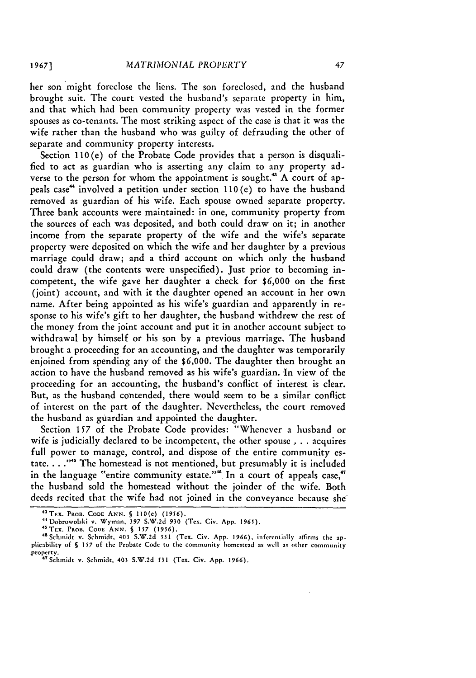her son might foreclose the liens. The son foreclosed, and the husband brought suit. The court vested the husband's separate property in him, and that which had been community property was vested in the former spouses as co-tenants. The most striking aspect of the case is that it was the wife rather than the husband who was guilty of defrauding the other of separate and community property interests.

Section 110(e) of the Probate Code provides that a person is disqualified to act as guardian who is asserting any claim to any property adverse to the person for whom the appointment is sought.<sup>43</sup> A court of appeals case" involved a petition under section 110(e) to have the husband removed as guardian of his wife. Each spouse owned separate property. Three bank accounts were maintained: in one, community property from the sources of each was deposited, and both could draw on it; in another income from the separate property of the wife and the wife's separate property were deposited on which the wife and her daughter by a previous marriage could draw; and a third account on which only the husband could draw (the contents were unspecified). Just prior to becoming incompetent, the wife gave her daughter a check for \$6,000 on the first (joint) account, and with it the daughter opened an account in her own name. After being appointed as his wife's guardian and apparently in response to his wife's gift to her daughter, the husband withdrew the rest of the money from the joint account and put it in another account subject to withdrawal by himself or his son by a previous marriage. The husband brought a proceeding for an accounting, and the daughter was temporarily enjoined from spending any of the \$6,000. The daughter then brought an action to have the husband removed as his wife's guardian. In view of the proceeding for an accounting, the husband's conflict of interest is clear. But, as the husband contended, there would seem to be a similar conflict of interest on the part of the daughter. Nevertheless, the court removed the husband as guardian and appointed the daughter.

Section **157** of the Probate Code provides: "Whenever a husband or wife is judicially declared to be incompetent, the other spouse . **.** . acquires full power to manage, control, and dispose of the entire community estate. . . **, "** The homestead is not mentioned, but presumably it is included in the language "entire community estate."<sup>48</sup> In a court of appeals case," the husband sold the homestead without the joinder of the wife. Both deeds recited that the wife had not joined in the conveyance because she

<sup>4</sup> TEX. PROB. CODE ANN. **§ 110(e) (1956). +t** Dobrowolski v. Wyman, **397** S.W.2d **930** (Tex. Civ. App. 1965). <sup>4</sup> <sup>5</sup> TEx. PROB. CODE ANN. **§ 157 (1956).**

<sup>&</sup>quot;°Schmidt v. Schmidt, 403 S.W.2d 531 (Tex. Civ. App. 1966), inferentially affirms the applicability of **S 157** of the Probate Code to the community homestead as well as other community .<br>property.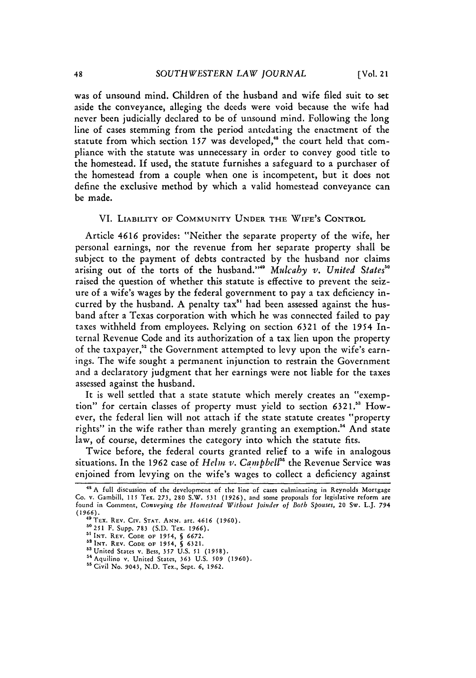was of unsound mind. Children of the husband and wife filed suit to set aside the conveyance, alleging the deeds were void because the wife had never been judicially declared to be of unsound mind. Following the long line of cases stemming from the period antedating the enactment of the statute from which section 157 was developed,<sup>48</sup> the court held that compliance with the statute was unnecessary in order to convey good title to the homestead. **If** used, the statute furnishes a safeguard to a purchaser of the homestead from a couple when one is incompetent, but it does not define the exclusive method by which a valid homestead conveyance can be made.

## VI. LIABILITY OF COMMUNITY UNDER THE WIFE'S CONTROL

Article 4616 provides: "Neither the separate property of the wife, her personal earnings, nor the revenue from her separate property shall be subject to the payment of debts contracted by the husband nor claims arising out of the torts of the husband."4 *Mulcahy v. United Statess°* raised the question of whether this statute is effective to prevent the seizure of a wife's wages by the federal government to pay a tax deficiency incurred by the husband. A penalty tax<sup>51</sup> had been assessed against the husband after a Texas corporation with which he was connected failed to pay taxes withheld from employees. Relying on section 6321 of the 1954 Internal Revenue Code and its authorization of a tax lien upon the property of the taxpayer,<sup>52</sup> the Government attempted to levy upon the wife's earnings. The wife sought a permanent injunction to restrain the Government and a declaratory judgment that her earnings were not liable for the taxes assessed against the husband.

It is well settled that a state statute which merely creates an "exemption" for certain classes of property must yield to section 6321.<sup>53</sup> However, the federal lien will not attach if the state statute creates "property rights" in the wife rather than merely granting an exemption.<sup>54</sup> And state law, of course, determines the category into which the statute fits.

Twice before, the federal courts granted relief to a wife in analogous situations. In the 1962 case of *Helm v. Campbell"* the Revenue Service was enjoined from levying on the wife's wages to collect a deficiency against

<sup>&</sup>lt;sup>48</sup> A full discussion of the development of the line of cases culminating in Reynolds Mortgage Co. v. Gambill, **115** Tex. 273, 280 S.W. **531 (1926),** and some proposals for legislative reform are found in Comment, *Conveying* the *Homnestead Without Joinder of* Both *Spouses,* 20 Sw. L.J. 794 *(1966).* 49TEx. REV. CIv. **STAT. ANN.** art. 4616 (1960).

**<sup>50251</sup>** F. Supp. **783** (S.D. Tex. *1966).*

<sup>&</sup>lt;sup>51</sup> INT. REV. CODE OF 1954, § 6672.<br><sup>52</sup> INT. REV. CODE OF 1954, § 6321.<br><sup>53</sup> United States v. Bess. 357 U.S. 51 (1958)

<sup>4</sup> Aquilino v. United States, **363** U.S. **509 (1960).**

**<sup>55</sup>** Civil No. 9043, **N.D.** Tex., Sept. **6, 1962.**